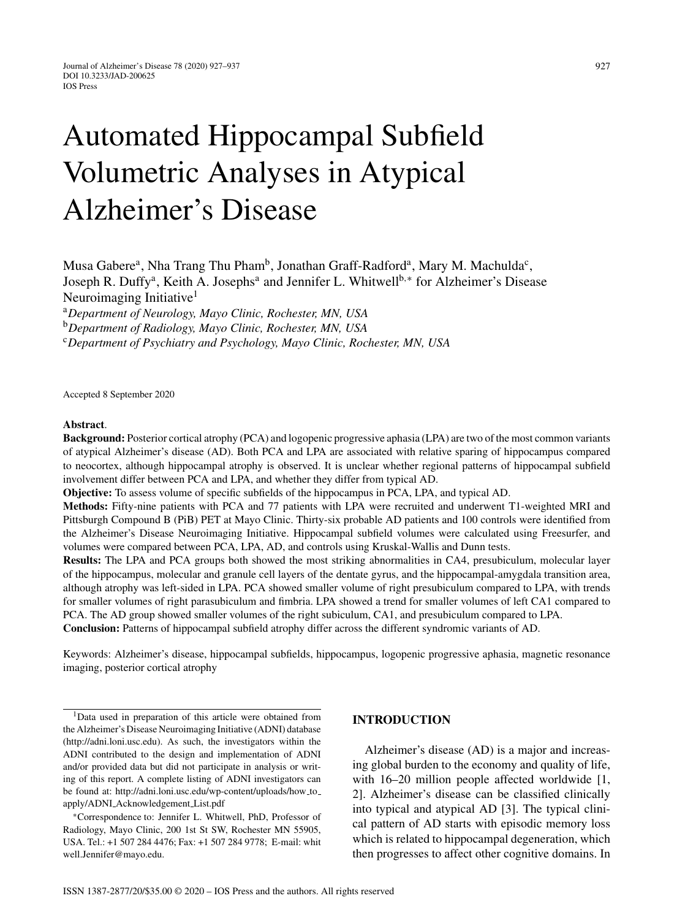# Automated Hippocampal Subfield Volumetric Analyses in Atypical Alzheimer's Disease

Musa Gabere<sup>a</sup>, Nha Trang Thu Pham<sup>b</sup>, Jonathan Graff-Radford<sup>a</sup>, Mary M. Machulda<sup>c</sup>, Joseph R. Duffya, Keith A. Josephsa and Jennifer L. Whitwellb*,*<sup>∗</sup> for Alzheimer's Disease Neuroimaging Initiative<sup>1</sup>

<sup>a</sup>*Department of Neurology, Mayo Clinic, Rochester, MN, USA*

<sup>b</sup>*Department of Radiology, Mayo Clinic, Rochester, MN, USA*

<sup>c</sup>*Department of Psychiatry and Psychology, Mayo Clinic, Rochester, MN, USA*

Accepted 8 September 2020

#### **Abstract**.

**Background:** Posterior cortical atrophy (PCA) and logopenic progressive aphasia (LPA) are two of the most common variants of atypical Alzheimer's disease (AD). Both PCA and LPA are associated with relative sparing of hippocampus compared to neocortex, although hippocampal atrophy is observed. It is unclear whether regional patterns of hippocampal subfield involvement differ between PCA and LPA, and whether they differ from typical AD.

**Objective:** To assess volume of specific subfields of the hippocampus in PCA, LPA, and typical AD.

**Methods:** Fifty-nine patients with PCA and 77 patients with LPA were recruited and underwent T1-weighted MRI and Pittsburgh Compound B (PiB) PET at Mayo Clinic. Thirty-six probable AD patients and 100 controls were identified from the Alzheimer's Disease Neuroimaging Initiative. Hippocampal subfield volumes were calculated using Freesurfer, and volumes were compared between PCA, LPA, AD, and controls using Kruskal-Wallis and Dunn tests.

**Results:** The LPA and PCA groups both showed the most striking abnormalities in CA4, presubiculum, molecular layer of the hippocampus, molecular and granule cell layers of the dentate gyrus, and the hippocampal-amygdala transition area, although atrophy was left-sided in LPA. PCA showed smaller volume of right presubiculum compared to LPA, with trends for smaller volumes of right parasubiculum and fimbria. LPA showed a trend for smaller volumes of left CA1 compared to PCA. The AD group showed smaller volumes of the right subiculum, CA1, and presubiculum compared to LPA. **Conclusion:** Patterns of hippocampal subfield atrophy differ across the different syndromic variants of AD.

Keywords: Alzheimer's disease, hippocampal subfields, hippocampus, logopenic progressive aphasia, magnetic resonance imaging, posterior cortical atrophy

1Data used in preparation of this article were obtained from the Alzheimer's Disease Neuroimaging Initiative (ADNI) database ([http://adni.loni.usc.edu\)](http://adni.loni.usc.edu). As such, the investigators within the ADNI contributed to the design and implementation of ADNI and/or provided data but did not participate in analysis or writing of this report. A complete listing of ADNI investigators can be found at: [http://adni.loni.usc.edu/wp-content/uploads/how](http://adni.loni.usc.edu/wp-content/uploads/how_to_apply/ADNI_Acknowledgement_List.pdf) to apply/ADNI Acknowledgement List.pdf

<sup>∗</sup>Correspondence to: Jennifer L. Whitwell, PhD, Professor of Radiology, Mayo Clinic, 200 1st St SW, Rochester MN 55905, USA. Tel.: +1 507 284 4476; Fax: +1 507 284 9778; E-mail: whit well.Jennifer@mayo.edu.

### **INTRODUCTION**

Alzheimer's disease (AD) is a major and increasing global burden to the economy and quality of life, with 16–20 million people affected worldwide [1, 2]. Alzheimer's disease can be classified clinically into typical and atypical AD [3]. The typical clinical pattern of AD starts with episodic memory loss [which is relate](mailto:whit{penalty -@M }well.Jennifer@mayo.edu)d to hippocampal degeneration, which then progresses to affect other cognitive domains. In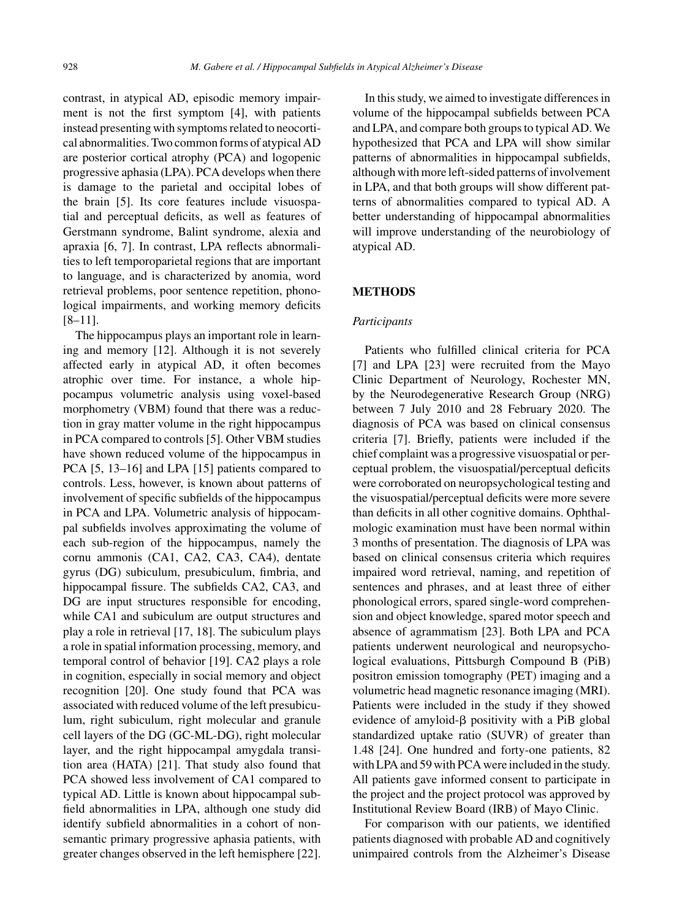contrast, in atypical AD, episodic memory impairment is not the first symptom [4], with patients instead presenting with symptoms related to neocortical abnormalities. Two common forms of atypical AD are posterior cortical atrophy (PCA) and logopenic progressive aphasia (LPA). PCA develops when there is damage to the parietal and occipital lobes of the brain [5]. Its core features include visuospatial and perceptual deficits, as well as features of Gerstmann syndrome, Balint syndrome, alexia and apraxia [6, 7]. In contrast, LPA reflects abnormalities to left temporoparietal regions that are important to language, and is characterized by anomia, word retrieval problems, poor sentence repetition, phonological impairments, and working memory deficits [8–11].

The hippocampus plays an important role in learning and memory [12]. Although it is not severely affected early in atypical AD, it often becomes atrophic over time. For instance, a whole hippocampus volumetric analysis using voxel-based morphometry (VBM) found that there was a reduction in gray matter volume in the right hippocampus in PCA compared to controls [5]. Other VBM studies have shown reduced volume of the hippocampus in PCA [5, 13–16] and LPA [15] patients compared to controls. Less, however, is known about patterns of involvement of specific subfields of the hippocampus in PCA and LPA. Volumetric analysis of hippocampal subfields involves approximating the volume of each sub-region of the hippocampus, namely the cornu ammonis (CA1, CA2, CA3, CA4), dentate gyrus (DG) subiculum, presubiculum, fimbria, and hippocampal fissure. The subfields CA2, CA3, and DG are input structures responsible for encoding, while CA1 and subiculum are output structures and play a role in retrieval [17, 18]. The subiculum plays a role in spatial information processing, memory, and temporal control of behavior [19]. CA2 plays a role in cognition, especially in social memory and object recognition [20]. One study found that PCA was associated with reduced volume of the left presubiculum, right subiculum, right molecular and granule cell layers of the DG (GC-ML-DG), right molecular layer, and the right hippocampal amygdala transition area (HATA) [21]. That study also found that PCA showed less involvement of CA1 compared to typical AD. Little is known about hippocampal subfield abnormalities in LPA, although one study did identify subfield abnormalities in a cohort of nonsemantic primary progressive aphasia patients, with greater changes observed in the left hemisphere [22].

In this study, we aimed to investigate differences in volume of the hippocampal subfields between PCA and LPA, and compare both groups to typical AD. We hypothesized that PCA and LPA will show similar patterns of abnormalities in hippocampal subfields, although with more left-sided patterns of involvement in LPA, and that both groups will show different patterns of abnormalities compared to typical AD. A better understanding of hippocampal abnormalities will improve understanding of the neurobiology of atypical AD.

## **METHODS**

#### *Participants*

Patients who fulfilled clinical criteria for PCA [7] and LPA [23] were recruited from the Mayo Clinic Department of Neurology, Rochester MN, by the Neurodegenerative Research Group (NRG) between 7 July 2010 and 28 February 2020. The diagnosis of PCA was based on clinical consensus criteria [7]. Briefly, patients were included if the chief complaint was a progressive visuospatial or perceptual problem, the visuospatial/perceptual deficits were corroborated on neuropsychological testing and the visuospatial/perceptual deficits were more severe than deficits in all other cognitive domains. Ophthalmologic examination must have been normal within 3 months of presentation. The diagnosis of LPA was based on clinical consensus criteria which requires impaired word retrieval, naming, and repetition of sentences and phrases, and at least three of either phonological errors, spared single-word comprehension and object knowledge, spared motor speech and absence of agrammatism [23]. Both LPA and PCA patients underwent neurological and neuropsychological evaluations, Pittsburgh Compound B (PiB) positron emission tomography (PET) imaging and a volumetric head magnetic resonance imaging (MRI). Patients were included in the study if they showed evidence of amyloid- $\beta$  positivity with a PiB global standardized uptake ratio (SUVR) of greater than 1.48 [24]. One hundred and forty-one patients, 82 with LPA and 59 with PCA were included in the study. All patients gave informed consent to participate in the project and the project protocol was approved by Institutional Review Board (IRB) of Mayo Clinic.

For comparison with our patients, we identified patients diagnosed with probable AD and cognitively unimpaired controls from the Alzheimer's Disease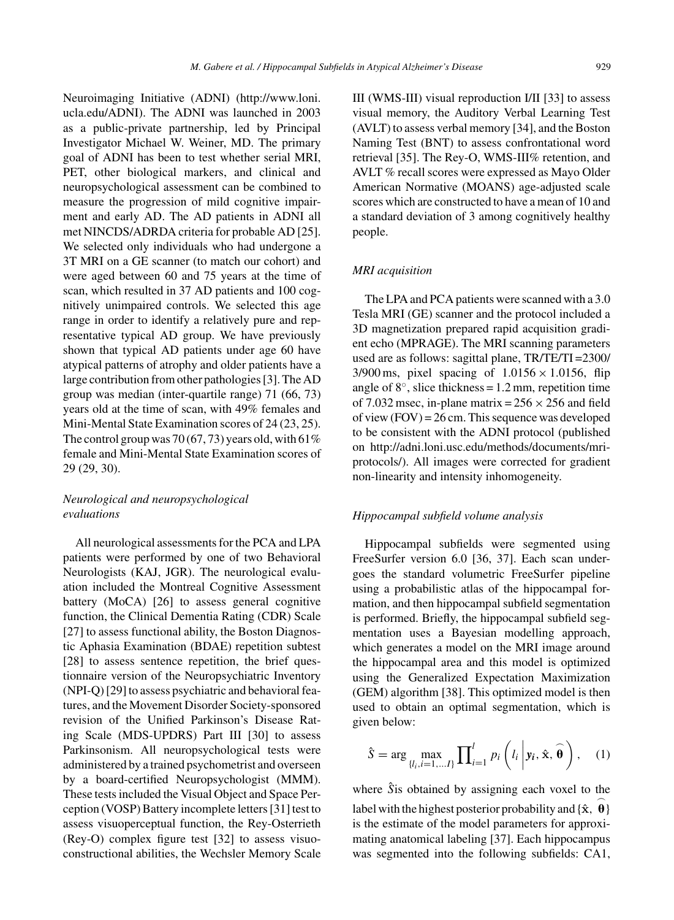Neuroimaging Initiative (ADNI) [\(http://www.loni.](http://www.loni.ucla.edu/ADNI) ucla.edu/ADNI). The ADNI was launched in 2003 as a public-private partnership, led by Principal Investigator Michael W. Weiner, MD. The primary goal of ADNI has been to test whether serial MRI, PET, other biological markers, and clinical and neuropsychological assessment can be combined to measure the progression of mild cognitive impairment and early AD. The AD patients in ADNI all met NINCDS/ADRDA criteria for probable AD [25]. We selected only individuals who had undergone a 3T MRI on a GE scanner (to match our cohort) and were aged between 60 and 75 years at the time of scan, which resulted in 37 AD patients and 100 cognitively unimpaired controls. We selected this age range in order to identify a relatively pure and representative typical AD group. We have previously shown that typical AD patients under age 60 have atypical patterns of atrophy and older patients have a large contribution from other pathologies [3]. The AD group was median (inter-quartile range) 71 (66, 73) years old at the time of scan, with 49% females and Mini-Mental State Examination scores of 24 (23, 25). The control group was 70 (67, 73) years old, with 61% female and Mini-Mental State Examination scores of 29 (29, 30).

## *Neurological and neuropsychological evaluations*

All neurological assessments for the PCA and LPA patients were performed by one of two Behavioral Neurologists (KAJ, JGR). The neurological evaluation included the Montreal Cognitive Assessment battery (MoCA) [26] to assess general cognitive function, the Clinical Dementia Rating (CDR) Scale [27] to assess functional ability, the Boston Diagnostic Aphasia Examination (BDAE) repetition subtest [28] to assess sentence repetition, the brief questionnaire version of the Neuropsychiatric Inventory (NPI-Q) [29] to assess psychiatric and behavioral features, and the Movement Disorder Society-sponsored revision of the Unified Parkinson's Disease Rating Scale (MDS-UPDRS) Part III [30] to assess Parkinsonism. All neuropsychological tests were administered by a trained psychometrist and overseen by a board-certified Neuropsychologist (MMM). These tests included the Visual Object and Space Perception (VOSP) Battery incomplete letters [31] test to assess visuoperceptual function, the Rey-Osterrieth (Rey-O) complex figure test [32] to assess visuoconstructional abilities, the Wechsler Memory Scale

III (WMS-III) visual reproduction I/II [33] to assess visual memory, the Auditory Verbal Learning Test (AVLT) to assess verbal memory [34], and the Boston Naming Test (BNT) to assess confrontational word retrieval [35]. The Rey-O, WMS-III% retention, and AVLT % recall scores were expressed as Mayo Older American Normative (MOANS) age-adjusted scale scores which are constructed to have a mean of 10 and a standard deviation of 3 among cognitively healthy people.

### *MRI acquisition*

The LPA and PCA patients were scanned with a 3.0 Tesla MRI (GE) scanner and the protocol included a 3D magnetization prepared rapid acquisition gradient echo (MPRAGE). The MRI scanning parameters used are as follows: sagittal plane, TR/TE/TI =2300/  $3/900$  ms, pixel spacing of  $1.0156 \times 1.0156$ , flip angle of  $8^\circ$ , slice thickness = 1.2 mm, repetition time of 7.032 msec, in-plane matrix =  $256 \times 256$  and field of view  $(FOV) = 26$  cm. This sequence was developed to be consistent with the ADNI protocol (published on [http://adni.loni.usc.edu/methods/documents/mri](http://adni.loni.usc.edu/methods/documents/mri-protocols/)protocols/). All images were corrected for gradient non-linearity and intensity inhomogeneity.

## *Hippocampal subfield volume analysis*

Hippocampal subfields were segmented using FreeSurfer version 6.0 [36, 37]. Each scan undergoes the standard volumetric FreeSurfer pipeline using a probabilistic atlas of the hippocampal formation, and then hippocampal subfield segmentation is performed. Briefly, the hippocampal subfield segmentation uses a Bayesian modelling approach, which generates a model on the MRI image around the hippocampal area and this model is optimized using the Generalized Expectation Maximization (GEM) algorithm [38]. This optimized model is then used to obtain an optimal segmentation, which is given below:

$$
\hat{S} = \arg \max_{\{l_i, i=1,...I\}} \prod_{i=1}^l p_i \left( l_i \middle| \mathbf{y}_i, \hat{\mathbf{x}}, \hat{\boldsymbol{\theta}} \right), \quad (1)
$$

where  $\hat{S}$  is obtained by assigning each voxel to the label with the highest posterior probability and  $\{\hat{\mathbf{x}}, \hat{\mathbf{\theta}}\}$ is the estimate of the model parameters for approximating anatomical labeling [37]. Each hippocampus was segmented into the following subfields: CA1,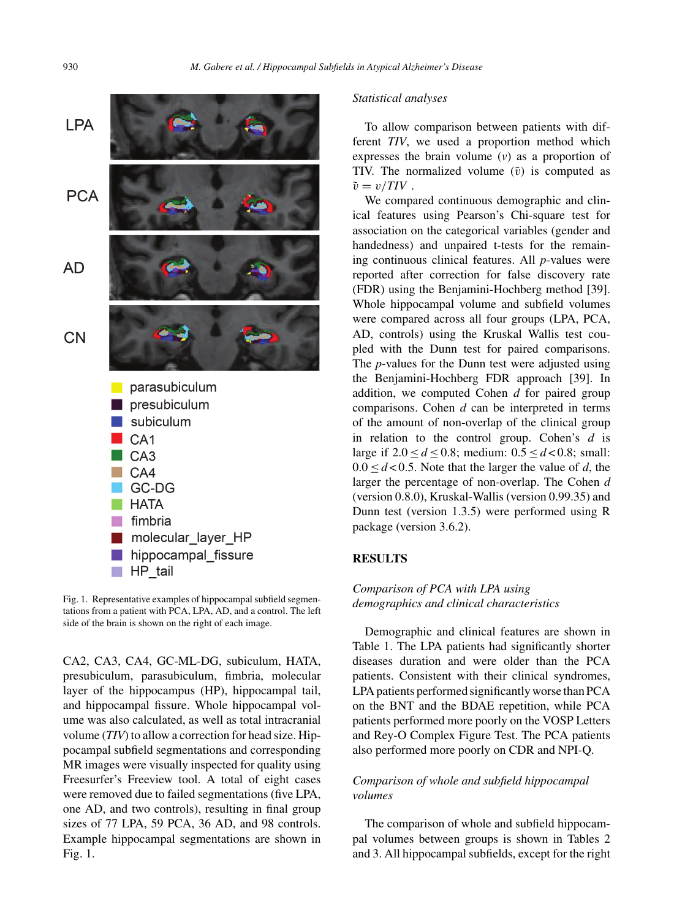

Fig. 1. Representative examples of hippocampal subfield segmentations from a patient with PCA, LPA, AD, and a control. The left side of the brain is shown on the right of each image.

CA2, CA3, CA4, GC-ML-DG, subiculum, HATA, presubiculum, parasubiculum, fimbria, molecular layer of the hippocampus (HP), hippocampal tail, and hippocampal fissure. Whole hippocampal volume was also calculated, as well as total intracranial volume (*TIV*) to allow a correction for head size. Hippocampal subfield segmentations and corresponding MR images were visually inspected for quality using Freesurfer's Freeview tool. A total of eight cases were removed due to failed segmentations (five LPA, one AD, and two controls), resulting in final group sizes of 77 LPA, 59 PCA, 36 AD, and 98 controls. Example hippocampal segmentations are shown in Fig. 1.

#### *Statistical analyses*

To allow comparison between patients with different *TIV*, we used a proportion method which expresses the brain volume  $(v)$  as a proportion of TIV. The normalized volume  $(\tilde{v})$  is computed as  $\tilde{v} = v/TIV$ .

We compared continuous demographic and clinical features using Pearson's Chi-square test for association on the categorical variables (gender and handedness) and unpaired t-tests for the remaining continuous clinical features. All *p*-values were reported after correction for false discovery rate (FDR) using the Benjamini-Hochberg method [39]. Whole hippocampal volume and subfield volumes were compared across all four groups (LPA, PCA, AD, controls) using the Kruskal Wallis test coupled with the Dunn test for paired comparisons. The *p*-values for the Dunn test were adjusted using the Benjamini-Hochberg FDR approach [39]. In addition, we computed Cohen *d* for paired group comparisons. Cohen *d* can be interpreted in terms of the amount of non-overlap of the clinical group in relation to the control group. Cohen's *d* is large if 2.0 ≤ *d* ≤ 0.8; medium: 0.5 ≤ *d* < 0.8; small:  $0.0 \leq d < 0.5$ . Note that the larger the value of *d*, the larger the percentage of non-overlap. The Cohen *d* (version 0.8.0), Kruskal-Wallis (version 0.99.35) and Dunn test (version 1.3.5) were performed using R package (version 3.6.2).

#### **RESULTS**

## *Comparison of PCA with LPA using demographics and clinical characteristics*

Demographic and clinical features are shown in Table 1. The LPA patients had significantly shorter diseases duration and were older than the PCA patients. Consistent with their clinical syndromes, LPA patients performed significantly worse than PCA on the BNT and the BDAE repetition, while PCA patients performed more poorly on the VOSP Letters and Rey-O Complex Figure Test. The PCA patients also performed more poorly on CDR and NPI-Q.

## *Comparison of whole and subfield hippocampal volumes*

The comparison of whole and subfield hippocampal volumes between groups is shown in Tables 2 and 3. All hippocampal subfields, except for the right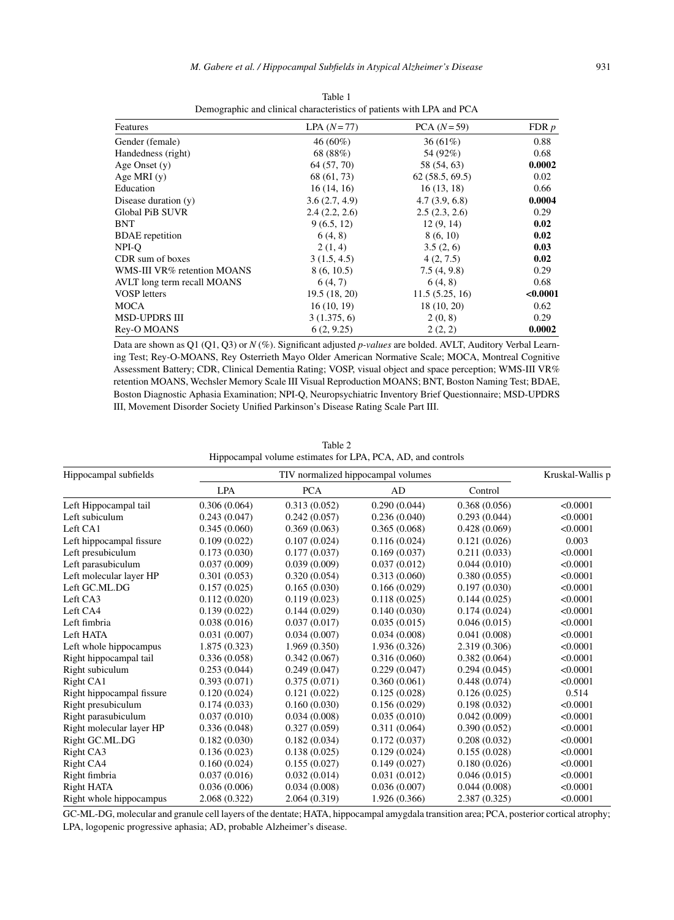| Features                    | $LPA (N=77)$  | $PCA (N=59)$   | FDR $p$       |
|-----------------------------|---------------|----------------|---------------|
| Gender (female)             | $46(60\%)$    | $36(61\%)$     | 0.88          |
| Handedness (right)          | 68 (88%)      | 54 (92%)       | 0.68          |
| Age Onset $(y)$             | 64 (57, 70)   | 58 (54, 63)    | 0.0002        |
| Age MRI $(y)$               | 68 (61, 73)   | 62(58.5, 69.5) | 0.02          |
| Education                   | 16(14, 16)    | 16(13, 18)     | 0.66          |
| Disease duration (y)        | 3.6(2.7, 4.9) | 4.7(3.9, 6.8)  | 0.0004        |
| <b>Global PiB SUVR</b>      | 2.4(2.2, 2.6) | 2.5(2.3, 2.6)  | 0.29          |
| <b>BNT</b>                  | 9(6.5, 12)    | 12(9, 14)      | 0.02          |
| <b>BDAE</b> repetition      | 6(4, 8)       | 8(6, 10)       | 0.02          |
| NPI-O                       | 2(1, 4)       | 3.5(2, 6)      | 0.03          |
| CDR sum of boxes            | 3(1.5, 4.5)   | 4(2, 7.5)      | 0.02          |
| WMS-III VR% retention MOANS | 8(6, 10.5)    | 7.5(4, 9.8)    | 0.29          |
| AVLT long term recall MOANS | 6(4, 7)       | 6(4, 8)        | 0.68          |
| VOSP letters                | 19.5(18, 20)  | 11.5(5.25, 16) | $<\!\!0.0001$ |
| MOCA                        | 16(10, 19)    | 18(10, 20)     | 0.62          |
| <b>MSD-UPDRS III</b>        | 3(1.375, 6)   | 2(0, 8)        | 0.29          |
| Rev-O MOANS                 | 6(2, 9.25)    | 2(2, 2)        | 0.0002        |

Table 1 Demographic and clinical characteristics of patients with LPA and PCA

Data are shown as Q1 (Q1, Q3) or *N* (%). Significant adjusted *p*-values are bolded. AVLT, Auditory Verbal Learning Test; Rey-O-MOANS, Rey Osterrieth Mayo Older American Normative Scale; MOCA, Montreal Cognitive Assessment Battery; CDR, Clinical Dementia Rating; VOSP, visual object and space perception; WMS-III VR% retention MOANS, Wechsler Memory Scale III Visual Reproduction MOANS; BNT, Boston Naming Test; BDAE, Boston Diagnostic Aphasia Examination; NPI-Q, Neuropsychiatric Inventory Brief Questionnaire; MSD-UPDRS III, Movement Disorder Society Unified Parkinson's Disease Rating Scale Part III.

Table 2 Hippocampal volume estimates for LPA, PCA, AD, and controls

| Hippocampal subfields     | TIV normalized hippocampal volumes |               |               |               | Kruskal-Wallis p |
|---------------------------|------------------------------------|---------------|---------------|---------------|------------------|
|                           | <b>LPA</b>                         | <b>PCA</b>    | AD            | Control       |                  |
| Left Hippocampal tail     | 0.306(0.064)                       | 0.313(0.052)  | 0.290(0.044)  | 0.368(0.056)  | < 0.0001         |
| Left subiculum            | 0.243(0.047)                       | 0.242(0.057)  | 0.236(0.040)  | 0.293(0.044)  | < 0.0001         |
| Left CA1                  | 0.345(0.060)                       | 0.369(0.063)  | 0.365(0.068)  | 0.428(0.069)  | < 0.0001         |
| Left hippocampal fissure  | 0.109(0.022)                       | 0.107(0.024)  | 0.116(0.024)  | 0.121(0.026)  | 0.003            |
| Left presubiculum         | 0.173(0.030)                       | 0.177(0.037)  | 0.169(0.037)  | 0.211(0.033)  | < 0.0001         |
| Left parasubiculum        | 0.037(0.009)                       | 0.039(0.009)  | 0.037(0.012)  | 0.044(0.010)  | < 0.0001         |
| Left molecular layer HP   | 0.301(0.053)                       | 0.320(0.054)  | 0.313(0.060)  | 0.380(0.055)  | < 0.0001         |
| Left GC.ML.DG             | 0.157(0.025)                       | 0.165(0.030)  | 0.166(0.029)  | 0.197(0.030)  | < 0.0001         |
| Left CA3                  | 0.112(0.020)                       | 0.119(0.023)  | 0.118(0.025)  | 0.144(0.025)  | < 0.0001         |
| Left CA4                  | 0.139(0.022)                       | 0.144(0.029)  | 0.140(0.030)  | 0.174(0.024)  | < 0.0001         |
| Left fimbria              | 0.038(0.016)                       | 0.037(0.017)  | 0.035(0.015)  | 0.046(0.015)  | < 0.0001         |
| Left HATA                 | 0.031(0.007)                       | 0.034(0.007)  | 0.034(0.008)  | 0.041(0.008)  | < 0.0001         |
| Left whole hippocampus    | 1.875(0.323)                       | 1.969 (0.350) | 1.936 (0.326) | 2.319 (0.306) | < 0.0001         |
| Right hippocampal tail    | 0.336(0.058)                       | 0.342(0.067)  | 0.316(0.060)  | 0.382(0.064)  | < 0.0001         |
| Right subiculum           | 0.253(0.044)                       | 0.249(0.047)  | 0.229(0.047)  | 0.294(0.045)  | < 0.0001         |
| Right CA1                 | 0.393(0.071)                       | 0.375(0.071)  | 0.360(0.061)  | 0.448(0.074)  | < 0.0001         |
| Right hippocampal fissure | 0.120(0.024)                       | 0.121(0.022)  | 0.125(0.028)  | 0.126(0.025)  | 0.514            |
| Right presubiculum        | 0.174(0.033)                       | 0.160(0.030)  | 0.156(0.029)  | 0.198(0.032)  | < 0.0001         |
| Right parasubiculum       | 0.037(0.010)                       | 0.034(0.008)  | 0.035(0.010)  | 0.042(0.009)  | < 0.0001         |
| Right molecular layer HP  | 0.336(0.048)                       | 0.327(0.059)  | 0.311(0.064)  | 0.390(0.052)  | < 0.0001         |
| Right GC.ML.DG            | 0.182(0.030)                       | 0.182(0.034)  | 0.172(0.037)  | 0.208(0.032)  | < 0.0001         |
| Right CA3                 | 0.136(0.023)                       | 0.138(0.025)  | 0.129(0.024)  | 0.155(0.028)  | < 0.0001         |
| Right CA4                 | 0.160(0.024)                       | 0.155(0.027)  | 0.149(0.027)  | 0.180(0.026)  | < 0.0001         |
| Right fimbria             | 0.037(0.016)                       | 0.032(0.014)  | 0.031(0.012)  | 0.046(0.015)  | < 0.0001         |
| Right HATA                | 0.036(0.006)                       | 0.034(0.008)  | 0.036(0.007)  | 0.044(0.008)  | < 0.0001         |
| Right whole hippocampus   | 2.068 (0.322)                      | 2.064 (0.319) | 1.926 (0.366) | 2.387(0.325)  | < 0.0001         |

GC-ML-DG, molecular and granule cell layers of the dentate; HATA, hippocampal amygdala transition area; PCA, posterior cortical atrophy; LPA, logopenic progressive aphasia; AD, probable Alzheimer's disease.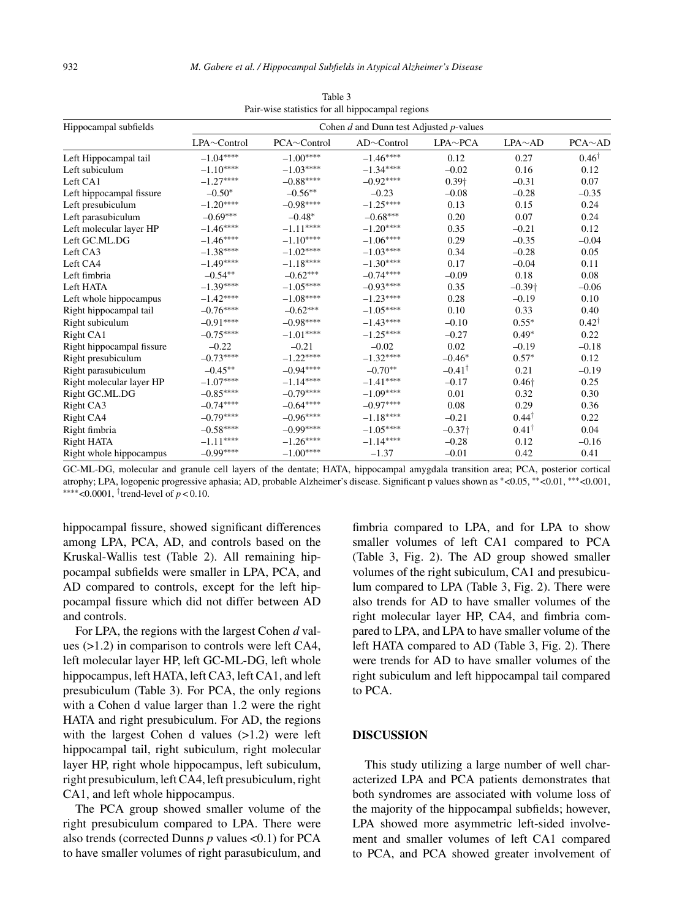| Hippocampal subfields     | Cohen $d$ and Dunn test Adjusted $p$ -values |                    |                   |                   |                      |                  |
|---------------------------|----------------------------------------------|--------------------|-------------------|-------------------|----------------------|------------------|
|                           | LPA~Control                                  | $PCA \sim Control$ | $AD \sim$ Control | $LPA\sim PCA$     | $LPA \sim AD$        | $PCA~\sim A.D$   |
| Left Hippocampal tail     | $-1.04***$                                   | $-1.00***$         | $-1.46***$        | 0.12              | 0.27                 | $0.46^{\dagger}$ |
| Left subiculum            | $-1.10***$                                   | $-1.03***$         | $-1.34***$        | $-0.02$           | 0.16                 | 0.12             |
| Left CA1                  | $-1.27***$                                   | $-0.88***$         | $-0.92***$        | 0.39 <sub>†</sub> | $-0.31$              | 0.07             |
| Left hippocampal fissure  | $-0.50*$                                     | $-0.56**$          | $-0.23$           | $-0.08$           | $-0.28$              | $-0.35$          |
| Left presubiculum         | $-1.20***$                                   | $-0.98***$         | $-1.25***$        | 0.13              | 0.15                 | 0.24             |
| Left parasubiculum        | $-0.69***$                                   | $-0.48*$           | $-0.68***$        | 0.20              | 0.07                 | 0.24             |
| Left molecular layer HP   | $-1.46***$                                   | $-1.11***$         | $-1.20***$        | 0.35              | $-0.21$              | 0.12             |
| Left GC.ML.DG             | $-1.46***$                                   | $-1.10***$         | $-1.06***$        | 0.29              | $-0.35$              | $-0.04$          |
| Left CA3                  | $-1.38***$                                   | $-1.02***$         | $-1.03***$        | 0.34              | $-0.28$              | 0.05             |
| Left CA4                  | $-1.49***$                                   | $-1.18***$         | $-1.30***$        | 0.17              | $-0.04$              | 0.11             |
| Left fimbria              | $-0.54**$                                    | $-0.62***$         | $-0.74***$        | $-0.09$           | 0.18                 | 0.08             |
| Left HATA                 | $-1.39***$                                   | $-1.05***$         | $-0.93***$        | 0.35              | $-0.39$ <sup>+</sup> | $-0.06$          |
| Left whole hippocampus    | $-1.42***$                                   | $-1.08***$         | $-1.23***$        | 0.28              | $-0.19$              | 0.10             |
| Right hippocampal tail    | $-0.76***$                                   | $-0.62***$         | $-1.05***$        | 0.10              | 0.33                 | 0.40             |
| Right subiculum           | $-0.91***$                                   | $-0.98***$         | $-1.43***$        | $-0.10$           | $0.55*$              | $0.42^{\dagger}$ |
| Right CA1                 | $-0.75***$                                   | $-1.01***$         | $-1.25***$        | $-0.27$           | $0.49*$              | 0.22             |
| Right hippocampal fissure | $-0.22$                                      | $-0.21$            | $-0.02$           | 0.02              | $-0.19$              | $-0.18$          |
| Right presubiculum        | $-0.73***$                                   | $-1.22***$         | $-1.32***$        | $-0.46*$          | $0.57*$              | 0.12             |
| Right parasubiculum       | $-0.45**$                                    | $-0.94***$         | $-0.70**$         | $-0.41^{\dagger}$ | 0.21                 | $-0.19$          |
| Right molecular layer HP  | $-1.07***$                                   | $-1.14***$         | $-1.41***$        | $-0.17$           | $0.46\dagger$        | 0.25             |
| Right GC.ML.DG            | $-0.85***$                                   | $-0.79***$         | $-1.09***$        | 0.01              | 0.32                 | 0.30             |
| Right CA3                 | $-0.74***$                                   | $-0.64***$         | $-0.97***$        | 0.08              | 0.29                 | 0.36             |
| Right CA4                 | $-0.79***$                                   | $-0.96***$         | $-1.18***$        | $-0.21$           | $0.44^{\dagger}$     | 0.22             |
| Right fimbria             | $-0.58***$                                   | $-0.99***$         | $-1.05***$        | $-0.37\dagger$    | $0.41^{\dagger}$     | 0.04             |
| <b>Right HATA</b>         | $-1.11***$                                   | $-1.26***$         | $-1.14***$        | $-0.28$           | 0.12                 | $-0.16$          |
| Right whole hippocampus   | $-0.99***$                                   | $-1.00***$         | $-1.37$           | $-0.01$           | 0.42                 | 0.41             |

Table 3 Pair-wise statistics for all hippocampal regions

GC-ML-DG, molecular and granule cell layers of the dentate; HATA, hippocampal amygdala transition area; PCA, posterior cortical atrophy; LPA, logopenic progressive aphasia; AD, probable Alzheimer's disease. Significant p values shown as <sup>∗</sup><0.05, ∗∗<0.01, ∗∗∗<0.001, ∗∗∗∗<0.0001, †trend-level of *p* < 0.10.

hippocampal fissure, showed significant differences among LPA, PCA, AD, and controls based on the Kruskal-Wallis test (Table 2). All remaining hippocampal subfields were smaller in LPA, PCA, and AD compared to controls, except for the left hippocampal fissure which did not differ between AD and controls.

For LPA, the regions with the largest Cohen *d* values (>1.2) in comparison to controls were left CA4, left molecular layer HP, left GC-ML-DG, left whole hippocampus, left HATA, left CA3, left CA1, and left presubiculum (Table 3). For PCA, the only regions with a Cohen d value larger than 1.2 were the right HATA and right presubiculum. For AD, the regions with the largest Cohen d values (>1.2) were left hippocampal tail, right subiculum, right molecular layer HP, right whole hippocampus, left subiculum, right presubiculum, left CA4, left presubiculum, right CA1, and left whole hippocampus.

The PCA group showed smaller volume of the right presubiculum compared to LPA. There were also trends (corrected Dunns *p* values <0.1) for PCA to have smaller volumes of right parasubiculum, and fimbria compared to LPA, and for LPA to show smaller volumes of left CA1 compared to PCA (Table 3, Fig. 2). The AD group showed smaller volumes of the right subiculum, CA1 and presubiculum compared to LPA (Table 3, Fig. 2). There were also trends for AD to have smaller volumes of the right molecular layer HP, CA4, and fimbria compared to LPA, and LPA to have smaller volume of the left HATA compared to AD (Table 3, Fig. 2). There were trends for AD to have smaller volumes of the right subiculum and left hippocampal tail compared to PCA.

#### **DISCUSSION**

This study utilizing a large number of well characterized LPA and PCA patients demonstrates that both syndromes are associated with volume loss of the majority of the hippocampal subfields; however, LPA showed more asymmetric left-sided involvement and smaller volumes of left CA1 compared to PCA, and PCA showed greater involvement of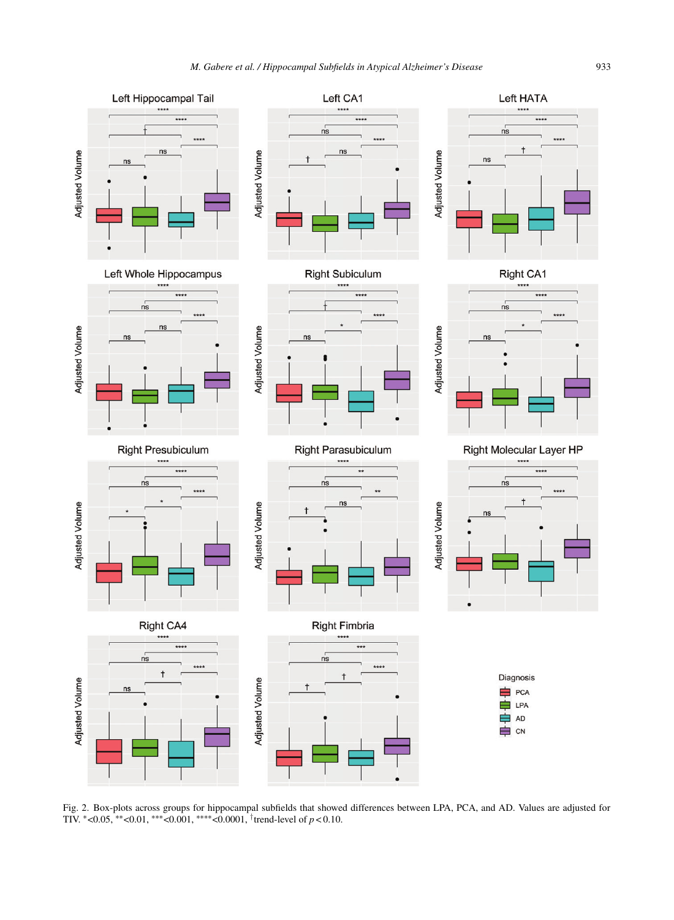

Fig. 2. Box-plots across groups for hippocampal subfields that showed differences between LPA, PCA, and AD. Values are adjusted for TIV. <sup>∗</sup><0.05, ∗∗<0.01, ∗∗∗<0.001, ∗∗∗∗<0.0001, †trend-level of *p* < 0.10.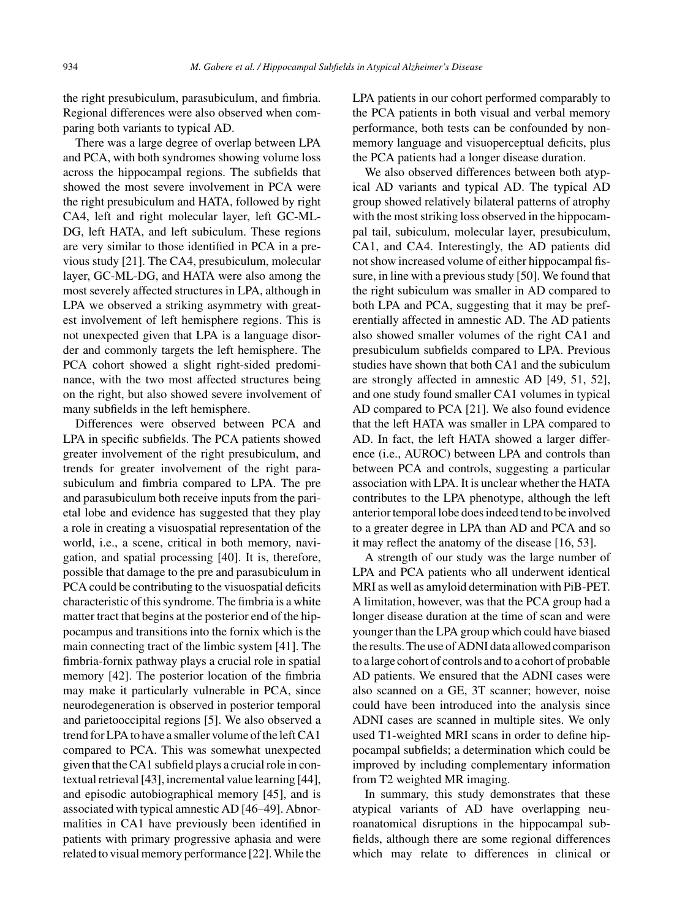the right presubiculum, parasubiculum, and fimbria. Regional differences were also observed when comparing both variants to typical AD.

There was a large degree of overlap between LPA and PCA, with both syndromes showing volume loss across the hippocampal regions. The subfields that showed the most severe involvement in PCA were the right presubiculum and HATA, followed by right CA4, left and right molecular layer, left GC-ML-DG, left HATA, and left subiculum. These regions are very similar to those identified in PCA in a previous study [21]. The CA4, presubiculum, molecular layer, GC-ML-DG, and HATA were also among the most severely affected structures in LPA, although in LPA we observed a striking asymmetry with greatest involvement of left hemisphere regions. This is not unexpected given that LPA is a language disorder and commonly targets the left hemisphere. The PCA cohort showed a slight right-sided predominance, with the two most affected structures being on the right, but also showed severe involvement of many subfields in the left hemisphere.

Differences were observed between PCA and LPA in specific subfields. The PCA patients showed greater involvement of the right presubiculum, and trends for greater involvement of the right parasubiculum and fimbria compared to LPA. The pre and parasubiculum both receive inputs from the parietal lobe and evidence has suggested that they play a role in creating a visuospatial representation of the world, i.e., a scene, critical in both memory, navigation, and spatial processing [40]. It is, therefore, possible that damage to the pre and parasubiculum in PCA could be contributing to the visuospatial deficits characteristic of this syndrome. The fimbria is a white matter tract that begins at the posterior end of the hippocampus and transitions into the fornix which is the main connecting tract of the limbic system [41]. The fimbria-fornix pathway plays a crucial role in spatial memory [42]. The posterior location of the fimbria may make it particularly vulnerable in PCA, since neurodegeneration is observed in posterior temporal and parietooccipital regions [5]. We also observed a trend for LPA to have a smaller volume of the left CA1 compared to PCA. This was somewhat unexpected given that the CA1 subfield plays a crucial role in contextual retrieval [43], incremental value learning [44], and episodic autobiographical memory [45], and is associated with typical amnestic AD [46–49]. Abnormalities in CA1 have previously been identified in patients with primary progressive aphasia and were related to visual memory performance [22]. While the

LPA patients in our cohort performed comparably to the PCA patients in both visual and verbal memory performance, both tests can be confounded by nonmemory language and visuoperceptual deficits, plus the PCA patients had a longer disease duration.

We also observed differences between both atypical AD variants and typical AD. The typical AD group showed relatively bilateral patterns of atrophy with the most striking loss observed in the hippocampal tail, subiculum, molecular layer, presubiculum, CA1, and CA4. Interestingly, the AD patients did not show increased volume of either hippocampal fissure, in line with a previous study [50]. We found that the right subiculum was smaller in AD compared to both LPA and PCA, suggesting that it may be preferentially affected in amnestic AD. The AD patients also showed smaller volumes of the right CA1 and presubiculum subfields compared to LPA. Previous studies have shown that both CA1 and the subiculum are strongly affected in amnestic AD [49, 51, 52], and one study found smaller CA1 volumes in typical AD compared to PCA [21]. We also found evidence that the left HATA was smaller in LPA compared to AD. In fact, the left HATA showed a larger difference (i.e., AUROC) between LPA and controls than between PCA and controls, suggesting a particular association with LPA. It is unclear whether the HATA contributes to the LPA phenotype, although the left anterior temporal lobe does indeed tend to be involved to a greater degree in LPA than AD and PCA and so it may reflect the anatomy of the disease [16, 53].

A strength of our study was the large number of LPA and PCA patients who all underwent identical MRI as well as amyloid determination with PiB-PET. A limitation, however, was that the PCA group had a longer disease duration at the time of scan and were younger than the LPA group which could have biased the results. The use of ADNI data allowed comparison to a large cohort of controls and to a cohort of probable AD patients. We ensured that the ADNI cases were also scanned on a GE, 3T scanner; however, noise could have been introduced into the analysis since ADNI cases are scanned in multiple sites. We only used T1-weighted MRI scans in order to define hippocampal subfields; a determination which could be improved by including complementary information from T2 weighted MR imaging.

In summary, this study demonstrates that these atypical variants of AD have overlapping neuroanatomical disruptions in the hippocampal subfields, although there are some regional differences which may relate to differences in clinical or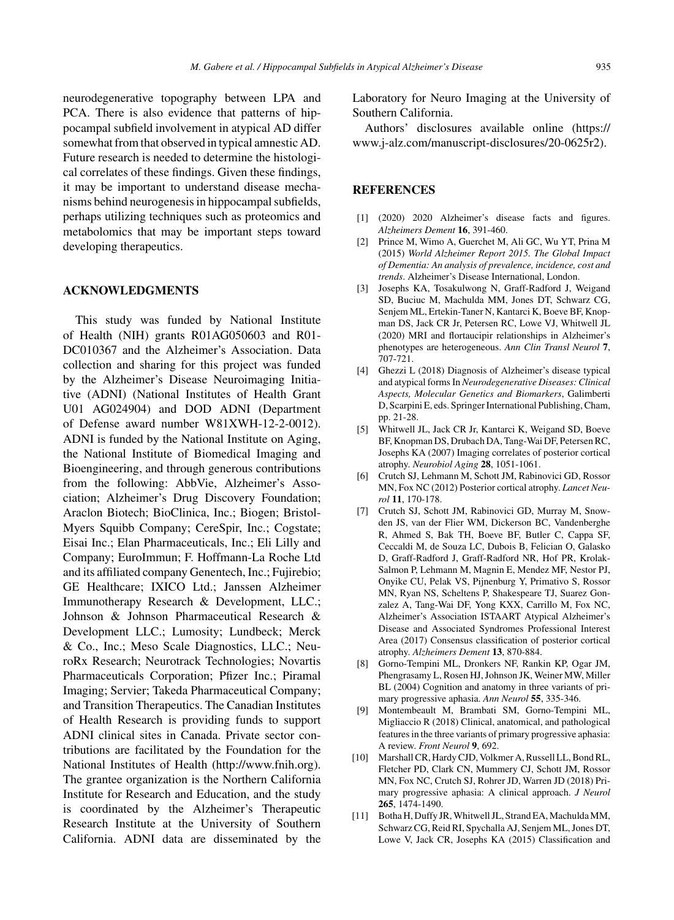neurodegenerative topography between LPA and PCA. There is also evidence that patterns of hippocampal subfield involvement in atypical AD differ somewhat from that observed in typical amnestic AD. Future research is needed to determine the histological correlates of these findings. Given these findings, it may be important to understand disease mechanisms behind neurogenesis in hippocampal subfields, perhaps utilizing techniques such as proteomics and metabolomics that may be important steps toward developing therapeutics.

#### **ACKNOWLEDGMENTS**

This study was funded by National Institute of Health (NIH) grants R01AG050603 and R01- DC010367 and the Alzheimer's Association. Data collection and sharing for this project was funded by the Alzheimer's Disease Neuroimaging Initiative (ADNI) (National Institutes of Health Grant U01 AG024904) and DOD ADNI (Department of Defense award number W81XWH-12-2-0012). ADNI is funded by the National Institute on Aging, the National Institute of Biomedical Imaging and Bioengineering, and through generous contributions from the following: AbbVie, Alzheimer's Association; Alzheimer's Drug Discovery Foundation; Araclon Biotech; BioClinica, Inc.; Biogen; Bristol-Myers Squibb Company; CereSpir, Inc.; Cogstate; Eisai Inc.; Elan Pharmaceuticals, Inc.; Eli Lilly and Company; EuroImmun; F. Hoffmann-La Roche Ltd and its affiliated company Genentech, Inc.; Fujirebio; GE Healthcare; IXICO Ltd.; Janssen Alzheimer Immunotherapy Research & Development, LLC.; Johnson & Johnson Pharmaceutical Research & Development LLC.; Lumosity; Lundbeck; Merck & Co., Inc.; Meso Scale Diagnostics, LLC.; NeuroRx Research; Neurotrack Technologies; Novartis Pharmaceuticals Corporation; Pfizer Inc.; Piramal Imaging; Servier; Takeda Pharmaceutical Company; and Transition Therapeutics. The Canadian Institutes of Health Research is providing funds to support ADNI clinical sites in Canada. Private sector contributions are facilitated by the Foundation for the National Institutes of Health ([http://www.fnih.org\)](http://www.fnih.org). The grantee organization is the Northern California Institute for Research and Education, and the study is coordinated by the Alzheimer's Therapeutic Research Institute at the University of Southern California. ADNI data are disseminated by the

Laboratory for Neuro Imaging at the University of Southern California.

Authors' disclosures available online [\(https://](https://www.j-alz.com/manuscript-disclosures/20-0625r2) www.j-alz.com/manuscript-disclosures/20-0625r2).

### **REFERENCES**

- [1] (2020) 2020 Alzheimer's disease facts and figures. *Alzheimers Dement* **16**, 391-460.
- [2] Prince M, Wimo A, Guerchet M, Ali GC, Wu YT, Prina M (2015) *World Alzheimer Report 2015. The Global Impact of Dementia: An analysis of prevalence, incidence, cost and trends*. Alzheimer's Disease International, London.
- [3] Josephs KA, Tosakulwong N, Graff-Radford J, Weigand SD, Buciuc M, Machulda MM, Jones DT, Schwarz CG, Senjem ML, Ertekin-Taner N, Kantarci K, Boeve BF, Knopman DS, Jack CR Jr, Petersen RC, Lowe VJ, Whitwell JL (2020) MRI and flortaucipir relationships in Alzheimer's phenotypes are heterogeneous. *Ann Clin Transl Neurol* **7**, 707-721.
- [4] Ghezzi L (2018) Diagnosis of Alzheimer's disease typical and atypical forms In *Neurodegenerative Diseases: Clinical Aspects, Molecular Genetics and Biomarkers*, Galimberti D, Scarpini E, eds. Springer International Publishing, Cham, pp. 21-28.
- [5] Whitwell JL, Jack CR Jr, Kantarci K, Weigand SD, Boeve BF, Knopman DS, Drubach DA, Tang-Wai DF, Petersen RC, Josephs KA (2007) Imaging correlates of posterior cortical atrophy. *Neurobiol Aging* **28**, 1051-1061.
- [6] Crutch SJ, Lehmann M, Schott JM, Rabinovici GD, Rossor MN, Fox NC (2012) Posterior cortical atrophy. *Lancet Neurol* **11**, 170-178.
- [7] Crutch SJ, Schott JM, Rabinovici GD, Murray M, Snowden JS, van der Flier WM, Dickerson BC, Vandenberghe R, Ahmed S, Bak TH, Boeve BF, Butler C, Cappa SF, Ceccaldi M, de Souza LC, Dubois B, Felician O, Galasko D, Graff-Radford J, Graff-Radford NR, Hof PR, Krolak-Salmon P, Lehmann M, Magnin E, Mendez MF, Nestor PJ, Onyike CU, Pelak VS, Pijnenburg Y, Primativo S, Rossor MN, Ryan NS, Scheltens P, Shakespeare TJ, Suarez Gonzalez A, Tang-Wai DF, Yong KXX, Carrillo M, Fox NC, Alzheimer's Association ISTAART Atypical Alzheimer's Disease and Associated Syndromes Professional Interest Area (2017) Consensus classification of posterior cortical atrophy. *Alzheimers Dement* **13**, 870-884.
- [8] Gorno-Tempini ML, Dronkers NF, Rankin KP, Ogar JM, Phengrasamy L, Rosen HJ, Johnson JK, Weiner MW, Miller BL (2004) Cognition and anatomy in three variants of primary progressive aphasia. *Ann Neurol* **55**, 335-346.
- [9] Montembeault M, Brambati SM, Gorno-Tempini ML, Migliaccio R (2018) Clinical, anatomical, and pathological features in the three variants of primary progressive aphasia: A review. *Front Neurol* **9**, 692.
- [10] Marshall CR, Hardy CJD, Volkmer A, Russell LL, Bond RL, Fletcher PD, Clark CN, Mummery CJ, Schott JM, Rossor MN, Fox NC, Crutch SJ, Rohrer JD, Warren JD (2018) Primary progressive aphasia: A clinical approach. *J Neurol* **265**, 1474-1490.
- [11] Botha H, Duffy JR, Whitwell JL, Strand EA, Machulda MM, Schwarz CG, Reid RI, Spychalla AJ, Senjem ML, Jones DT, Lowe V, Jack CR, Josephs KA (2015) Classification and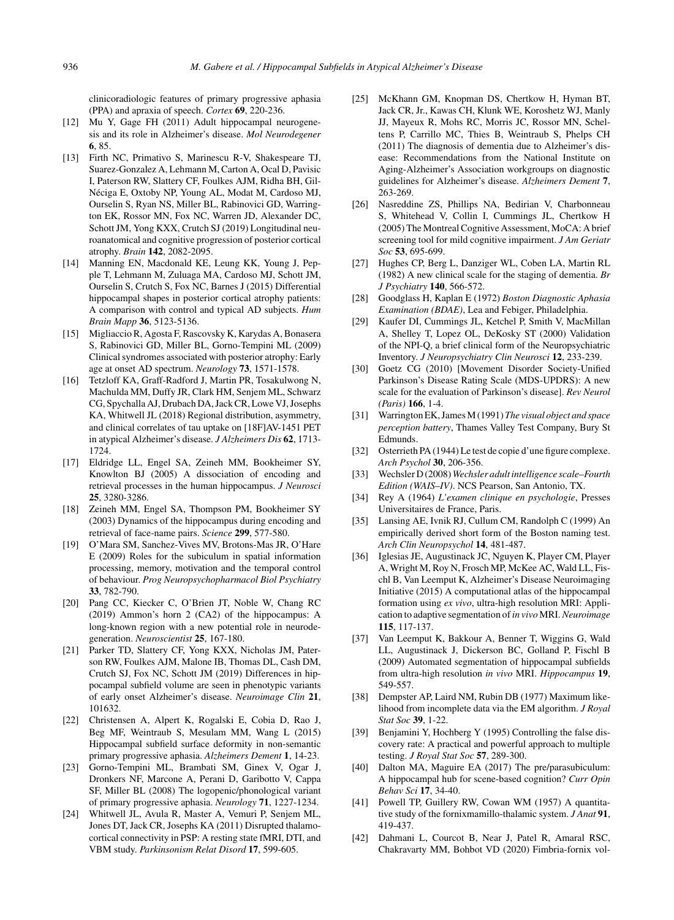clinicoradiologic features of primary progressive aphasia (PPA) and apraxia of speech. *Cortex* **69**, 220-236.

- [12] Mu Y, Gage FH (2011) Adult hippocampal neurogenesis and its role in Alzheimer's disease. *Mol Neurodegener* **6**, 85.
- [13] Firth NC, Primativo S, Marinescu R-V, Shakespeare TJ, Suarez-Gonzalez A, Lehmann M, Carton A, Ocal D, Pavisic I, Paterson RW, Slattery CF, Foulkes AJM, Ridha BH, Gil-Néciga E, Oxtoby NP, Young AL, Modat M, Cardoso MJ, Ourselin S, Ryan NS, Miller BL, Rabinovici GD, Warrington EK, Rossor MN, Fox NC, Warren JD, Alexander DC, Schott JM, Yong KXX, Crutch SJ (2019) Longitudinal neuroanatomical and cognitive progression of posterior cortical atrophy. *Brain* **142**, 2082-2095.
- [14] Manning EN, Macdonald KE, Leung KK, Young J, Pepple T, Lehmann M, Zuluaga MA, Cardoso MJ, Schott JM, Ourselin S, Crutch S, Fox NC, Barnes J (2015) Differential hippocampal shapes in posterior cortical atrophy patients: A comparison with control and typical AD subjects. *Hum Brain Mapp* **36**, 5123-5136.
- [15] Migliaccio R, Agosta F, Rascovsky K, Karydas A, Bonasera S, Rabinovici GD, Miller BL, Gorno-Tempini ML (2009) Clinical syndromes associated with posterior atrophy: Early age at onset AD spectrum. *Neurology* **73**, 1571-1578.
- [16] Tetzloff KA, Graff-Radford J, Martin PR, Tosakulwong N, Machulda MM, Duffy JR, Clark HM, Senjem ML, Schwarz CG, Spychalla AJ, Drubach DA, Jack CR, Lowe VJ, Josephs KA, Whitwell JL (2018) Regional distribution, asymmetry, and clinical correlates of tau uptake on [18F]AV-1451 PET in atypical Alzheimer's disease. *J Alzheimers Dis* **62**, 1713- 1724.
- [17] Eldridge LL, Engel SA, Zeineh MM, Bookheimer SY, Knowlton BJ (2005) A dissociation of encoding and retrieval processes in the human hippocampus. *J Neurosci* **25**, 3280-3286.
- [18] Zeineh MM, Engel SA, Thompson PM, Bookheimer SY (2003) Dynamics of the hippocampus during encoding and retrieval of face-name pairs. *Science* **299**, 577-580.
- [19] O'Mara SM, Sanchez-Vives MV, Brotons-Mas JR, O'Hare E (2009) Roles for the subiculum in spatial information processing, memory, motivation and the temporal control of behaviour. *Prog Neuropsychopharmacol Biol Psychiatry* **33**, 782-790.
- [20] Pang CC, Kiecker C, O'Brien JT, Noble W, Chang RC (2019) Ammon's horn 2 (CA2) of the hippocampus: A long-known region with a new potential role in neurodegeneration. *Neuroscientist* **25**, 167-180.
- [21] Parker TD, Slattery CF, Yong KXX, Nicholas JM, Paterson RW, Foulkes AJM, Malone IB, Thomas DL, Cash DM, Crutch SJ, Fox NC, Schott JM (2019) Differences in hippocampal subfield volume are seen in phenotypic variants of early onset Alzheimer's disease. *Neuroimage Clin* **21**, 101632.
- [22] Christensen A, Alpert K, Rogalski E, Cobia D, Rao J, Beg MF, Weintraub S, Mesulam MM, Wang L (2015) Hippocampal subfield surface deformity in non-semantic primary progressive aphasia. *Alzheimers Dement* **1**, 14-23.
- [23] Gorno-Tempini ML, Brambati SM, Ginex V, Ogar J, Dronkers NF, Marcone A, Perani D, Garibotto V, Cappa SF, Miller BL (2008) The logopenic/phonological variant of primary progressive aphasia. *Neurology* **71**, 1227-1234.
- [24] Whitwell JL, Avula R, Master A, Vemuri P, Senjem ML, Jones DT, Jack CR, Josephs KA (2011) Disrupted thalamocortical connectivity in PSP: A resting state fMRI, DTI, and VBM study. *Parkinsonism Relat Disord* **17**, 599-605.
- [25] McKhann GM, Knopman DS, Chertkow H, Hyman BT, Jack CR, Jr., Kawas CH, Klunk WE, Koroshetz WJ, Manly JJ, Mayeux R, Mohs RC, Morris JC, Rossor MN, Scheltens P, Carrillo MC, Thies B, Weintraub S, Phelps CH (2011) The diagnosis of dementia due to Alzheimer's disease: Recommendations from the National Institute on Aging-Alzheimer's Association workgroups on diagnostic guidelines for Alzheimer's disease. *Alzheimers Dement* **7**, 263-269.
- [26] Nasreddine ZS, Phillips NA, Bedirian V, Charbonneau S, Whitehead V, Collin I, Cummings JL, Chertkow H (2005) The Montreal Cognitive Assessment, MoCA: A brief screening tool for mild cognitive impairment. *J Am Geriatr Soc* **53**, 695-699.
- [27] Hughes CP, Berg L, Danziger WL, Coben LA, Martin RL (1982) A new clinical scale for the staging of dementia. *Br J Psychiatry* **140**, 566-572.
- [28] Goodglass H, Kaplan E (1972) *Boston Diagnostic Aphasia Examination (BDAE)*, Lea and Febiger, Philadelphia.
- [29] Kaufer DI, Cummings JL, Ketchel P, Smith V, MacMillan A, Shelley T, Lopez OL, DeKosky ST (2000) Validation of the NPI-Q, a brief clinical form of the Neuropsychiatric Inventory. *J Neuropsychiatry Clin Neurosci* **12**, 233-239.
- [30] Goetz CG (2010) [Movement Disorder Society-Unified Parkinson's Disease Rating Scale (MDS-UPDRS): A new scale for the evaluation of Parkinson's disease]. *Rev Neurol (Paris)* **166**, 1-4.
- [31] Warrington EK, James M (1991) *The visual object and space perception battery*, Thames Valley Test Company, Bury St Edmunds.
- [32] Osterrieth PA (1944) Le test de copie d'une figure complexe. *Arch Psychol* **30**, 206-356.
- [33] Wechsler D (2008) *Wechsler adult intelligence scale–Fourth Edition (WAIS–IV)*. NCS Pearson, San Antonio, TX.
- [34] Rey A (1964) *L'examen clinique en psychologie*, Presses Universitaires de France, Paris.
- [35] Lansing AE, Ivnik RJ, Cullum CM, Randolph C (1999) An empirically derived short form of the Boston naming test. *Arch Clin Neuropsychol* **14**, 481-487.
- [36] Iglesias JE, Augustinack JC, Nguyen K, Player CM, Player A, Wright M, Roy N, Frosch MP, McKee AC, Wald LL, Fischl B, Van Leemput K, Alzheimer's Disease Neuroimaging Initiative (2015) A computational atlas of the hippocampal formation using *ex vivo*, ultra-high resolution MRI: Application to adaptive segmentation of*in vivo* MRI.*Neuroimage* **115**, 117-137.
- [37] Van Leemput K, Bakkour A, Benner T, Wiggins G, Wald LL, Augustinack J, Dickerson BC, Golland P, Fischl B (2009) Automated segmentation of hippocampal subfields from ultra-high resolution *in vivo* MRI. *Hippocampus* **19**, 549-557.
- [38] Dempster AP, Laird NM, Rubin DB (1977) Maximum likelihood from incomplete data via the EM algorithm. *J Royal Stat Soc* **39**, 1-22.
- [39] Benjamini Y, Hochberg Y (1995) Controlling the false discovery rate: A practical and powerful approach to multiple testing. *J Royal Stat Soc* **57**, 289-300.
- [40] Dalton MA, Maguire EA (2017) The pre/parasubiculum: A hippocampal hub for scene-based cognition? *Curr Opin Behav Sci* **17**, 34-40.
- [41] Powell TP, Guillery RW, Cowan WM (1957) A quantitative study of the fornixmamillo-thalamic system. *J Anat* **91**, 419-437.
- [42] Dahmani L, Courcot B, Near J, Patel R, Amaral RSC, Chakravarty MM, Bohbot VD (2020) Fimbria-fornix vol-